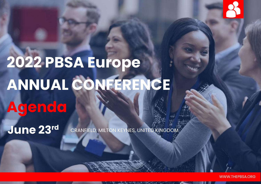

# **2022 PBSA Europe ANNUAL CONFERENCE Agenda**

**June 23rd**

CRANFIELD, MILTON KEYNES, UNITED KINGDOM

WWW.THEPBSA.ORG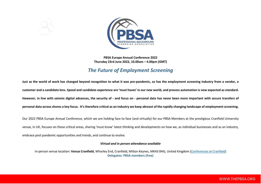

#### **PBSA Europe Annual Conference 2022 Thursday 23rd June 2022, 10.00am – 4.00pm (GMT)**

# *The Future of Employment Screening*

**Just as the world of work has changed beyond recognition to what it was pre-pandemic, so has the employment screening industry from a vendor, a customer and a candidate lens. Speed and candidate experience are 'must haves' in our new world, and process automation is now expected as standard. However, in line with seismic digital advances, the security of - and focus on - personal data has never been more important with secure transfers of personal data across shores a key focus. It's therefore critical as an industry we keep abreast of the rapidly changing landscape of employment screening.**

Our 2022 PBSA Europe Annual Conference, which we are holding face to face (and virtually) for our PBSA Members at the prestigious Cranfield University venue, in UK, focuses on these critical areas, sharing 'must know' latest thinking and developments on how we, as individual businesses and as an industry, embrace post pandemic opportunities and trends, and continue to evolve.

#### *Virtual and in person attendance available*

In-person venue location: **Venue Cranfield**, Wharley End, Cranfield, Milton Keynes, MK43 0HG, United Kingdom [\(Conferences at Cranfield\)](https://www.cranfield.ac.uk/about/conferences) **Delegates: PBSA members (free)**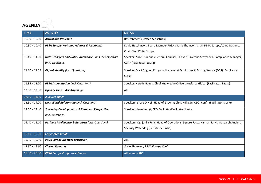## **AGENDA**

| <b>TIME</b>     | <b>ACTIVITY</b>                                               | <b>DETAIL</b>                                                                                |
|-----------------|---------------------------------------------------------------|----------------------------------------------------------------------------------------------|
| $10.00 - 10.30$ | <b>Arrival and Welcome</b>                                    | Refreshments (coffee & pastries)                                                             |
| $10.30 - 10.40$ | PBSA Europe Welcome Address & Icebreaker                      | David Hutchinson, Board Member PBSA; Susie Thomson, Chair PBSA Europe/Laura Rosianu,         |
|                 |                                                               | Chair Elect PBSA Europe                                                                      |
| $10.40 - 11.10$ | Data Transfers and Data Governance - an EU Perspective        | Speaker: Alice Quinones General Counsel, I-Cover; Tsvetana Stoycheva, Compliance Manager,    |
|                 | (incl. Questions)                                             | Certn (Facilitator: Laura)                                                                   |
| $11.10 - 11.35$ | <b>Digital Identity (incl. Questions)</b>                     | Speaker: Mark Sugden Program Manager at Disclosure & Barring Service (DBS) (Facilitator:     |
|                 |                                                               | Susie)                                                                                       |
| $11.35 - 12.00$ | <b>PBSA Accreditation</b> (incl. Questions)                   | Speaker: Kerstin Bagus, Chief Knowledge Officer, Netforce Global (Facilitator: Laura)        |
| $12.00 - 12.30$ | Open Session - Ask Anything!                                  | All                                                                                          |
| $12.30 - 13.30$ | 2 Course Lunch                                                |                                                                                              |
| $13.30 - 14.00$ | <b>New World Referencing (incl. Questions)</b>                | Speakers: Steve O'Neil, Head of Growth; Chris Milligan, CEO, Konfir (Facilitator: Susie)     |
| $14.00 - 14.40$ | <b>Screening Developments; A European Perspective</b>         | Speaker: Harm Voogt, CEO, Validata (Facilitator: Laura)                                      |
|                 | (incl. Questions)                                             |                                                                                              |
| $14.40 - 15.10$ | <b>Business Intelligence &amp; Research (incl. Questions)</b> | Speakers: Ognjenka Fejic, Head of Operations, Square Facts: Hannah Jarvis, Research Analyst, |
|                 |                                                               | Security Watchdog (Facilitator: Susie)                                                       |
| $15.10 - 15.30$ | Coffee/Tea break                                              |                                                                                              |
| $15.30 - 15.50$ | <b>PBSA Europe Member Discussion</b>                          | <b>ALL</b>                                                                                   |
| $15.50 - 16.00$ | <b>Closing Remarks</b>                                        | Susie Thomson, PBSA Europe Chair                                                             |
| $18.30 - 20.30$ | <b>PBSA Europe Conference Dinner</b>                          | ALL (venue TBC)                                                                              |